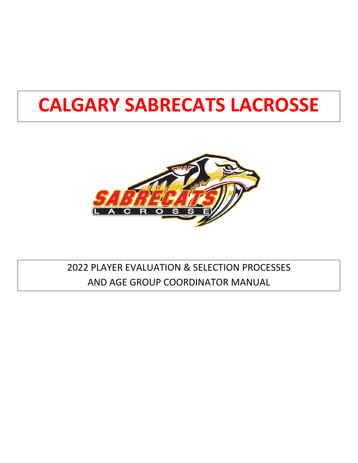# **CALGARY SABRECATS LACROSSE**



## 2022 PLAYER EVALUATION & SELECTION PROCESSES AND AGE GROUP COORDINATOR MANUAL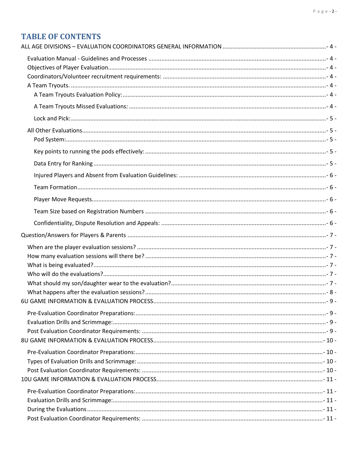### **TABLE OF CONTENTS**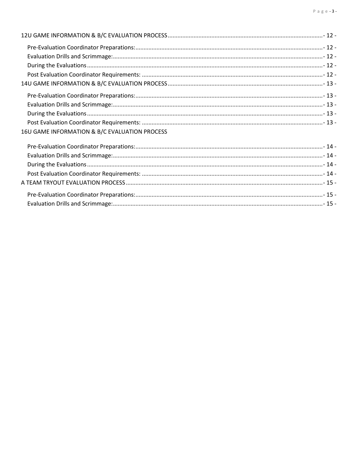| 16U GAME INFORMATION & B/C EVALUATION PROCESS |  |
|-----------------------------------------------|--|
|                                               |  |
|                                               |  |
|                                               |  |
|                                               |  |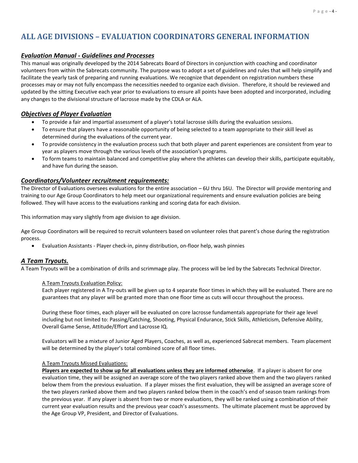### <span id="page-3-0"></span>**ALL AGE DIVISIONS – EVALUATION COORDINATORS GENERAL INFORMATION**

### <span id="page-3-1"></span>*Evaluation Manual - Guidelines and Processes*

This manual was originally developed by the 2014 Sabrecats Board of Directors in conjunction with coaching and coordinator volunteers from within the Sabrecats community. The purpose was to adopt a set of guidelines and rules that will help simplify and facilitate the yearly task of preparing and running evaluations. We recognize that dependent on registration numbers these processes may or may not fully encompass the necessities needed to organize each division. Therefore, it should be reviewed and updated by the sitting Executive each year prior to evaluations to ensure all points have been adopted and incorporated, including any changes to the divisional structure of lacrosse made by the CDLA or ALA.

### <span id="page-3-2"></span>*Objectives of Player Evaluation*

- To provide a fair and impartial assessment of a player's total lacrosse skills during the evaluation sessions.
- To ensure that players have a reasonable opportunity of being selected to a team appropriate to their skill level as determined during the evaluations of the current year.
- To provide consistency in the evaluation process such that both player and parent experiences are consistent from year to year as players move through the various levels of the association's programs.
- To form teams to maintain balanced and competitive play where the athletes can develop their skills, participate equitably, and have fun during the season.

### <span id="page-3-3"></span>*Coordinators/Volunteer recruitment requirements:*

The Director of Evaluations oversees evaluations for the entire association – 6U thru 16U. The Director will provide mentoring and training to our Age Group Coordinators to help meet our organizational requirements and ensure evaluation policies are being followed. They will have access to the evaluations ranking and scoring data for each division.

This information may vary slightly from age division to age division.

Age Group Coordinators will be required to recruit volunteers based on volunteer roles that parent's chose during the registration process.

• Evaluation Assistants - Player check-in, pinny distribution, on-floor help, wash pinnies

#### <span id="page-3-4"></span>*A Team Tryouts.*

<span id="page-3-5"></span>A Team Tryouts will be a combination of drills and scrimmage play. The process will be led by the Sabrecats Technical Director.

#### A Team Tryouts Evaluation Policy:

Each player registered in A Try-outs will be given up to 4 separate floor times in which they will be evaluated. There are no guarantees that any player will be granted more than one floor time as cuts will occur throughout the process.

During these floor times, each player will be evaluated on core lacrosse fundamentals appropriate for their age level including but not limited to: Passing/Catching, Shooting, Physical Endurance, Stick Skills, Athleticism, Defensive Ability, Overall Game Sense, Attitude/Effort and Lacrosse IQ.

Evaluators will be a mixture of Junior Aged Players, Coaches, as well as, experienced Sabrecat members. Team placement will be determined by the player's total combined score of all floor times.

#### <span id="page-3-6"></span>A Team Tryouts Missed Evaluations:

**Players are expected to show up for all evaluations unless they are informed otherwise**. If a player is absent for one evaluation time, they will be assigned an average score of the two players ranked above them and the two players ranked below them from the previous evaluation. If a player misses the first evaluation, they will be assigned an average score of the two players ranked above them and two players ranked below them in the coach's end of season team rankings from the previous year. If any player is absent from two or more evaluations, they will be ranked using a combination of their current year evaluation results and the previous year coach's assessments. The ultimate placement must be approved by the Age Group VP, President, and Director of Evaluations.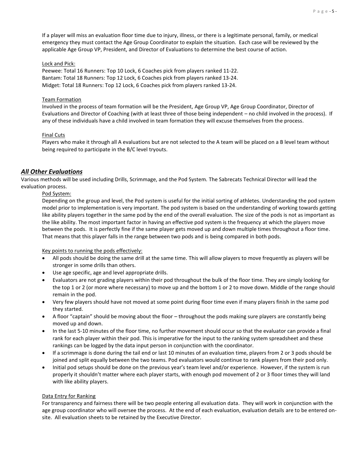If a player will miss an evaluation floor time due to injury, illness, or there is a legitimate personal, family, or medical emergency they must contact the Age Group Coordinator to explain the situation. Each case will be reviewed by the applicable Age Group VP, President, and Director of Evaluations to determine the best course of action.

#### <span id="page-4-0"></span>Lock and Pick:

Peewee: Total 16 Runners: Top 10 Lock, 6 Coaches pick from players ranked 11-22. Bantam: Total 18 Runners: Top 12 Lock, 6 Coaches pick from players ranked 13-24. Midget: Total 18 Runners: Top 12 Lock, 6 Coaches pick from players ranked 13-24.

#### Team Formation

Involved in the process of team formation will be the President, Age Group VP, Age Group Coordinator, Director of Evaluations and Director of Coaching (with at least three of those being independent – no child involved in the process). If any of these individuals have a child involved in team formation they will excuse themselves from the process.

#### Final Cuts

Players who make it through all A evaluations but are not selected to the A team will be placed on a B level team without being required to participate in the B/C level tryouts.

### <span id="page-4-1"></span>*All Other Evaluations*

<span id="page-4-2"></span>Various methods will be used including Drills, Scrimmage, and the Pod System. The Sabrecats Technical Director will lead the evaluation process.

#### Pod System:

Depending on the group and level, the Pod system is useful for the initial sorting of athletes. Understanding the pod system model prior to implementation is very important. The pod system is based on the understanding of working towards getting like ability players together in the same pod by the end of the overall evaluation. The size of the pods is not as important as the like ability. The most important factor in having an effective pod system is the frequency at which the players move between the pods. It is perfectly fine if the same player gets moved up and down multiple times throughout a floor time. That means that this player falls in the range between two pods and is being compared in both pods.

<span id="page-4-3"></span>Key points to running the pods effectively:

- All pods should be doing the same drill at the same time. This will allow players to move frequently as players will be stronger in some drills than others.
- Use age specific, age and level appropriate drills.
- Evaluators are not grading players within their pod throughout the bulk of the floor time. They are simply looking for the top 1 or 2 (or more where necessary) to move up and the bottom 1 or 2 to move down. Middle of the range should remain in the pod.
- Very few players should have not moved at some point during floor time even if many players finish in the same pod they started.
- A floor "captain" should be moving about the floor throughout the pods making sure players are constantly being moved up and down.
- In the last 5-10 minutes of the floor time, no further movement should occur so that the evaluator can provide a final rank for each player within their pod. This is imperative for the input to the ranking system spreadsheet and these rankings can be logged by the data input person in conjunction with the coordinator.
- If a scrimmage is done during the tail end or last 10 minutes of an evaluation time, players from 2 or 3 pods should be joined and split equally between the two teams. Pod evaluators would continue to rank players from their pod only.
- Initial pod setups should be done on the previous year's team level and/or experience. However, if the system is run properly it shouldn't matter where each player starts, with enough pod movement of 2 or 3 floor times they will land with like ability players.

#### <span id="page-4-4"></span>Data Entry for Ranking

For transparency and fairness there will be two people entering all evaluation data. They will work in conjunction with the age group coordinator who will oversee the process. At the end of each evaluation, evaluation details are to be entered onsite. All evaluation sheets to be retained by the Executive Director.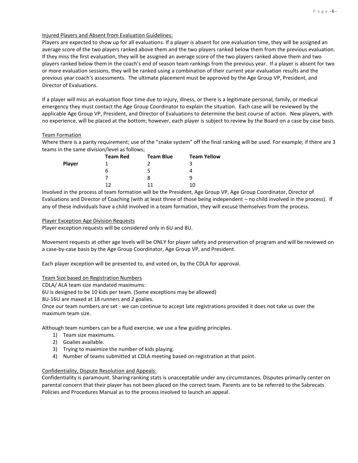### <span id="page-5-0"></span>Injured Players and Absent from Evaluation Guidelines:

Players are expected to show up for all evaluations. If a player is absent for one evaluation time, they will be assigned an average score of the two players ranked above them and the two players ranked below them from the previous evaluation. If they miss the first evaluation, they will be assigned an average score of the two players ranked above them and two players ranked below them in the coach's end of season team rankings from the previous year. If a player is absent for two or more evaluation sessions, they will be ranked using a combination of their current year evaluation results and the previous year coach's assessments. The ultimate placement must be approved by the Age Group VP, President, and Director of Evaluations.

If a player will miss an evaluation floor time due to injury, illness, or there is a legitimate personal, family, or medical emergency they must contact the Age Group Coordinator to explain the situation. Each case will be reviewed by the applicable Age Group VP, President, and Director of Evaluations to determine the best course of action. New players, with no experience, will be placed at the bottom; however, each player is subject to review by the Board on a case by case basis.

### <span id="page-5-1"></span>Team Formation

Where there is a parity requirement; use of the "snake system" off the final ranking will be used. For example; if there are 3 teams in the same division/level as follows;

|               | <b>Team Red</b> | <b>Team Blue</b> | <b>Team Yellow</b> |
|---------------|-----------------|------------------|--------------------|
| <b>Player</b> |                 |                  |                    |
|               | h               | ר                |                    |
|               |                 | 8                | q                  |
|               | 17              | 11               | 10                 |

Involved in the process of team formation will be the President, Age Group VP, Age Group Coordinator, Director of Evaluations and Director of Coaching (with at least three of those being independent – no child involved in the process). If any of these individuals have a child involved in a team formation, they will excuse themselves from the process.

#### <span id="page-5-2"></span>Player Exception Age Division Requests

Player exception requests will be considered only in 6U and 8U.

Movement requests at other age levels will be ONLY for player safety and preservation of program and will be reviewed on a case-by-case basis by the Age Group Coordinator, Age Group VP, and President.

Each player exception will be presented to, and voted on, by the CDLA for approval.

### <span id="page-5-3"></span>Team Size based on Registration Numbers

CDLA/ ALA team size mandated maximums:

6U is designed to be 10 kids per team. (Some exceptions may be allowed)

8U-16U are maxed at 18 runners and 2 goalies.

Once our team numbers are set - we can continue to accept late registrations provided it does not take us over the maximum team size.

Although team numbers can be a fluid exercise, we use a few guiding principles.

- 1) Team size maximums.
- 2) Goalies available.
- 3) Trying to maximize the number of kids playing.
- 4) Number of teams submitted at CDLA meeting based on registration at that point.

#### <span id="page-5-4"></span>Confidentiality, Dispute Resolution and Appeals:

Confidentiality is paramount. Sharing ranking stats is unacceptable under any circumstances. Disputes primarily center on parental concern that their player has not been placed on the correct team. Parents are to be referred to the Sabrecats Policies and Procedures Manual as to the process involved to launch an appeal.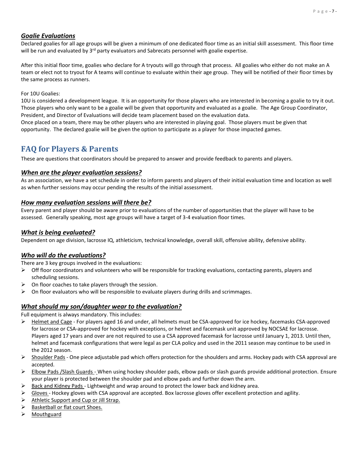### *Goalie Evaluations*

Declared goalies for all age groups will be given a minimum of one dedicated floor time as an initial skill assessment. This floor time will be run and evaluated by  $3<sup>rd</sup>$  party evaluators and Sabrecats personnel with goalie expertise.

After this initial floor time, goalies who declare for A tryouts will go through that process. All goalies who either do not make an A team or elect not to tryout for A teams will continue to evaluate within their age group. They will be notified of their floor times by the same process as runners.

### For 10U Goalies:

10U is considered a development league. It is an opportunity for those players who are interested in becoming a goalie to try it out. Those players who only want to be a goalie will be given that opportunity and evaluated as a goalie. The Age Group Coordinator, President, and Director of Evaluations will decide team placement based on the evaluation data.

Once placed on a team, there may be other players who are interested in playing goal. Those players must be given that opportunity. The declared goalie will be given the option to participate as a player for those impacted games.

### <span id="page-6-0"></span>**FAQ for Players & Parents**

These are questions that coordinators should be prepared to answer and provide feedback to parents and players.

### <span id="page-6-1"></span>*When are the player evaluation sessions?*

As an association, we have a set schedule in order to inform parents and players of their initial evaluation time and location as well as when further sessions may occur pending the results of the initial assessment.

### <span id="page-6-2"></span>*How many evaluation sessions will there be?*

Every parent and player should be aware prior to evaluations of the number of opportunities that the player will have to be assessed. Generally speaking, most age groups will have a target of 3-4 evaluation floor times.

### <span id="page-6-3"></span>*What is being evaluated?*

Dependent on age division, lacrosse IQ, athleticism, technical knowledge, overall skill, offensive ability, defensive ability.

### <span id="page-6-4"></span>*Who will do the evaluations?*

There are 3 key groups involved in the evaluations:

- $\triangleright$  Off floor coordinators and volunteers who will be responsible for tracking evaluations, contacting parents, players and scheduling sessions.
- $\triangleright$  On floor coaches to take players through the session.
- $\triangleright$  On floor evaluators who will be responsible to evaluate players during drills and scrimmages.

### <span id="page-6-5"></span>*What should my son/daughter wear to the evaluation?*

Full equipment is always mandatory. This includes:

- ➢ Helmet and Cage For players aged 16 and under, all helmets must be CSA-approved for ice hockey, facemasks CSA-approved for lacrosse or CSA-approved for hockey with exceptions, or helmet and facemask unit approved by NOCSAE for lacrosse. Players aged 17 years and over are not required to use a CSA approved facemask for lacrosse until January 1, 2013. Until then, helmet and facemask configurations that were legal as per CLA policy and used in the 2011 season may continue to be used in the 2012 season.
- ➢ Shoulder Pads One piece adjustable pad which offers protection for the shoulders and arms. Hockey pads with CSA approval are accepted.
- ➢ Elbow Pads /Slash Guards When using hockey shoulder pads, elbow pads or slash guards provide additional protection. Ensure your player is protected between the shoulder pad and elbow pads and further down the arm.
- ➢ Back and Kidney Pads Lightweight and wrap around to protect the lower back and kidney area.
- $\triangleright$  Gloves Hockey gloves with CSA approval are accepted. Box lacrosse gloves offer excellent protection and agility.
- $\triangleright$  Athletic Support and Cup or Jill Strap.
- ➢ Basketball or flat court Shoes.
- ➢ Mouthguard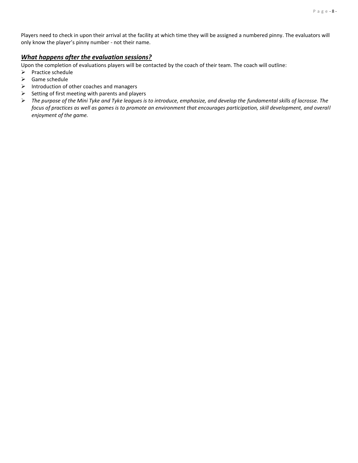Players need to check in upon their arrival at the facility at which time they will be assigned a numbered pinny. The evaluators will only know the player's pinny number - not their name.

### <span id="page-7-0"></span>*What happens after the evaluation sessions?*

Upon the completion of evaluations players will be contacted by the coach of their team. The coach will outline:

- ➢ Practice schedule
- $\triangleright$  Game schedule
- ➢ Introduction of other coaches and managers
- $\triangleright$  Setting of first meeting with parents and players
- ➢ *The purpose of the Mini Tyke and Tyke leagues is to introduce, emphasize, and develop the fundamental skills of lacrosse. The focus of practices as well as games is to promote an environment that encourages participation, skill development, and overall enjoyment of the game.*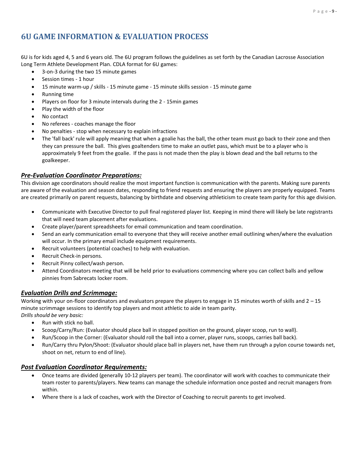### <span id="page-8-0"></span>**6U GAME INFORMATION & EVALUATION PROCESS**

6U is for kids aged 4, 5 and 6 years old. The 6U program follows the guidelines as set forth by the Canadian Lacrosse Association Long Term Athlete Development Plan. CDLA format for 6U games:

- 3-on-3 during the two 15 minute games
- Session times 1 hour
- 15 minute warm-up / skills 15 minute game 15 minute skills session 15 minute game
- Running time
- Players on floor for 3 minute intervals during the 2 15min games
- Play the width of the floor
- No contact
- No referees coaches manage the floor
- No penalties stop when necessary to explain infractions
- The 'fall back' rule will apply meaning that when a goalie has the ball, the other team must go back to their zone and then they can pressure the ball. This gives goaltenders time to make an outlet pass, which must be to a player who is approximately 9 feet from the goalie. If the pass is not made then the play is blown dead and the ball returns to the goalkeeper.

### <span id="page-8-1"></span>*Pre-Evaluation Coordinator Preparations:*

This division age coordinators should realize the most important function is communication with the parents. Making sure parents are aware of the evaluation and season dates, responding to friend requests and ensuring the players are properly equipped. Teams are created primarily on parent requests, balancing by birthdate and observing athleticism to create team parity for this age division.

- Communicate with Executive Director to pull final registered player list. Keeping in mind there will likely be late registrants that will need team placement after evaluations.
- Create player/parent spreadsheets for email communication and team coordination.
- Send an early communication email to everyone that they will receive another email outlining when/where the evaluation will occur. In the primary email include equipment requirements.
- Recruit volunteers (potential coaches) to help with evaluation.
- Recruit Check-in persons.
- Recruit Pinny collect/wash person.
- Attend Coordinators meeting that will be held prior to evaluations commencing where you can collect balls and yellow pinnies from Sabrecats locker room.

### <span id="page-8-2"></span>*Evaluation Drills and Scrimmage:*

Working with your on-floor coordinators and evaluators prepare the players to engage in 15 minutes worth of skills and  $2 - 15$ minute scrimmage sessions to identify top players and most athletic to aide in team parity. *Drills should be very basic:*

- Run with stick no ball.
- Scoop/Carry/Run: (Evaluator should place ball in stopped position on the ground, player scoop, run to wall).
- Run/Scoop in the Corner: (Evaluator should roll the ball into a corner, player runs, scoops, carries ball back).
- Run/Carry thru Pylon/Shoot: (Evaluator should place ball in players net, have them run through a pylon course towards net, shoot on net, return to end of line).

- <span id="page-8-3"></span>• Once teams are divided (generally 10-12 players per team). The coordinator will work with coaches to communicate their team roster to parents/players. New teams can manage the schedule information once posted and recruit managers from within.
- Where there is a lack of coaches, work with the Director of Coaching to recruit parents to get involved.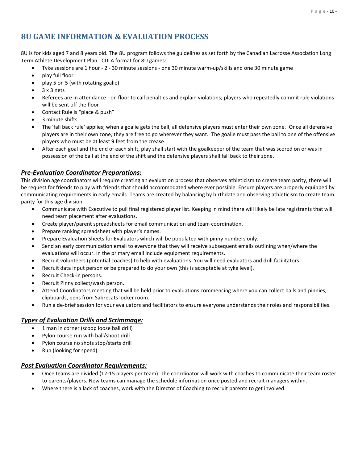### <span id="page-9-0"></span>**8U GAME INFORMATION & EVALUATION PROCESS**

8U is for kids aged 7 and 8 years old. The 8U program follows the guidelines as set forth by the Canadian Lacrosse Association Long Term Athlete Development Plan. CDLA format for 8U games:

- Tyke sessions are 1 hour 2 30 minute sessions one 30 minute warm-up/skills and one 30 minute game
- play full floor
- play 5 on 5 (with rotating goalie)
- 3 x 3 nets
- Referees are in attendance on floor to call penalties and explain violations; players who repeatedly commit rule violations will be sent off the floor
- Contact Rule is "place & push"
- 3 minute shifts
- The 'fall back rule' applies; when a goalie gets the ball, all defensive players must enter their own zone. Once all defensive players are in their own zone, they are free to go wherever they want. The goalie must pass the ball to one of the offensive players who must be at least 9 feet from the crease.
- After each goal and the end of each shift, play shall start with the goalkeeper of the team that was scored on or was in possession of the ball at the end of the shift and the defensive players shall fall back to their zone.

### <span id="page-9-1"></span>*Pre-Evaluation Coordinator Preparations:*

This division age coordinators will require creating an evaluation process that observes athleticism to create team parity, there will be request for friends to play with friends that should accommodated where ever possible. Ensure players are properly equipped by communicating requirements in early emails. Teams are created by balancing by birthdate and observing athleticism to create team parity for this age division.

- Communicate with Executive to pull final registered player list. Keeping in mind there will likely be late registrants that will need team placement after evaluations.
- Create player/parent spreadsheets for email communication and team coordination.
- Prepare ranking spreadsheet with player's names.
- Prepare Evaluation Sheets for Evaluators which will be populated with pinny numbers only.
- Send an early communication email to everyone that they will receive subsequent emails outlining when/where the evaluations will occur. In the primary email include equipment requirements.
- Recruit volunteers (potential coaches) to help with evaluations. You will need evaluators and drill facilitators
- Recruit data input person or be prepared to do your own (this is acceptable at tyke level).
- Recruit Check-in persons.
- Recruit Pinny collect/wash person.
- Attend Coordinators meeting that will be held prior to evaluations commencing where you can collect balls and pinnies, clipboards, pens from Sabrecats locker room.
- Run a de-brief session for your evaluators and facilitators to ensure everyone understands their roles and responsibilities.

### <span id="page-9-2"></span>*Types of Evaluation Drills and Scrimmage:*

- 1 man in corner (scoop loose ball drill)
- Pylon course run with ball/shoot drill
- Pylon course no shots stop/starts drill
- Run (looking for speed)

- <span id="page-9-3"></span>• Once teams are divided (12-15 players per team). The coordinator will work with coaches to communicate their team roster to parents/players. New teams can manage the schedule information once posted and recruit managers within.
- Where there is a lack of coaches, work with the Director of Coaching to recruit parents to get involved.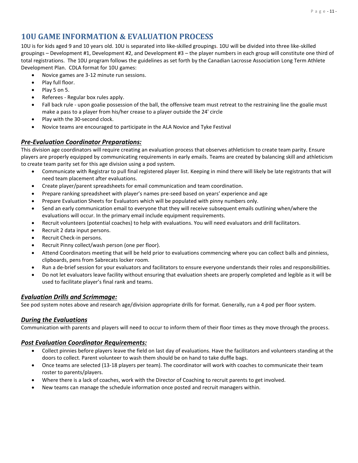### <span id="page-10-0"></span>**10U GAME INFORMATION & EVALUATION PROCESS**

10U is for kids aged 9 and 10 years old. 10U is separated into like-skilled groupings. 10U will be divided into three like-skilled groupings – Development #1, Development #2, and Development #3 – the player numbers in each group will constitute one third of total registrations. The 10U program follows the guidelines as set forth by the Canadian Lacrosse Association Long Term Athlete Development Plan. CDLA format for 10U games:

- Novice games are 3-12 minute run sessions.
- Play full floor.
- Play 5 on 5.
- Referees Regular box rules apply.
- Fall back rule upon goalie possession of the ball, the offensive team must retreat to the restraining line the goalie must make a pass to a player from his/her crease to a player outside the 24' circle
- Play with the 30-second clock.
- Novice teams are encouraged to participate in the ALA Novice and Tyke Festival

### <span id="page-10-1"></span>*Pre-Evaluation Coordinator Preparations:*

This division age coordinators will require creating an evaluation process that observes athleticism to create team parity. Ensure players are properly equipped by communicating requirements in early emails. Teams are created by balancing skill and athleticism to create team parity set for this age division using a pod system.

- Communicate with Registrar to pull final registered player list. Keeping in mind there will likely be late registrants that will need team placement after evaluations.
- Create player/parent spreadsheets for email communication and team coordination.
- Prepare ranking spreadsheet with player's names pre-seed based on years' experience and age
- Prepare Evaluation Sheets for Evaluators which will be populated with pinny numbers only.
- Send an early communication email to everyone that they will receive subsequent emails outlining when/where the evaluations will occur. In the primary email include equipment requirements.
- Recruit volunteers (potential coaches) to help with evaluations. You will need evaluators and drill facilitators.
- Recruit 2 data input persons.
- Recruit Check-in persons.
- Recruit Pinny collect/wash person (one per floor).
- Attend Coordinators meeting that will be held prior to evaluations commencing where you can collect balls and pinniess, clipboards, pens from Sabrecats locker room.
- Run a de-brief session for your evaluators and facilitators to ensure everyone understands their roles and responsibilities.
- Do not let evaluators leave facility without ensuring that evaluation sheets are properly completed and legible as it will be used to facilitate player's final rank and teams.

### <span id="page-10-2"></span>*Evaluation Drills and Scrimmage:*

See pod system notes above and research age/division appropriate drills for format. Generally, run a 4 pod per floor system.

### <span id="page-10-3"></span>*During the Evaluations*

<span id="page-10-4"></span>Communication with parents and players will need to occur to inform them of their floor times as they move through the process.

- Collect pinnies before players leave the field on last day of evaluations. Have the facilitators and volunteers standing at the doors to collect. Parent volunteer to wash them should be on hand to take duffle bags.
- Once teams are selected (13-18 players per team). The coordinator will work with coaches to communicate their team roster to parents/players.
- Where there is a lack of coaches, work with the Director of Coaching to recruit parents to get involved.
- New teams can manage the schedule information once posted and recruit managers within.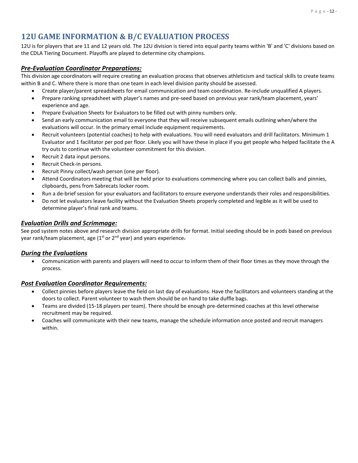### <span id="page-11-0"></span>**12U GAME INFORMATION & B/C EVALUATION PROCESS**

12U is for players that are 11 and 12 years old. The 12U division is tiered into equal parity teams within 'B' and 'C' divisions based on the CDLA Tiering Document. Playoffs are played to determine city champions.

### <span id="page-11-1"></span>*Pre-Evaluation Coordinator Preparations:*

This division age coordinators will require creating an evaluation process that observes athleticism and tactical skills to create teams within B and C. Where there is more than one team in each level division parity should be assessed.

- Create player/parent spreadsheets for email communication and team coordination. Re-include unqualified A players.
- Prepare ranking spreadsheet with player's names and pre-seed based on previous year rank/team placement, years' experience and age.
- Prepare Evaluation Sheets for Evaluators to be filled out with pinny numbers only.
- Send an early communication email to everyone that they will receive subsequent emails outlining when/where the evaluations will occur. In the primary email include equipment requirements.
- Recruit volunteers (potential coaches) to help with evaluations. You will need evaluators and drill facilitators. Minimum 1 Evaluator and 1 facilitator per pod per floor. Likely you will have these in place if you get people who helped facilitate the A try outs to continue with the volunteer commitment for this division.
- Recruit 2 data input persons.
- Recruit Check-in persons.
- Recruit Pinny collect/wash person (one per floor).
- Attend Coordinators meeting that will be held prior to evaluations commencing where you can collect balls and pinnies, clipboards, pens from Sabrecats locker room.
- Run a de-brief session for your evaluators and facilitators to ensure everyone understands their roles and responsibilities.
- Do not let evaluators leave facility without the Evaluation Sheets properly completed and legible as it will be used to determine player's final rank and teams.

### <span id="page-11-2"></span>*Evaluation Drills and Scrimmage:*

See pod system notes above and research division appropriate drills for format. Initial seeding should be in pods based on previous year rank/team placement, age (1<sup>st</sup> or 2<sup>nd</sup> year) and years experience-

### <span id="page-11-3"></span>*During the Evaluations*

• Communication with parents and players will need to occur to inform them of their floor times as they move through the process.

- <span id="page-11-4"></span>• Collect pinnies before players leave the field on last day of evaluations. Have the facilitators and volunteers standing at the doors to collect. Parent volunteer to wash them should be on hand to take duffle bags.
- Teams are divided (15-18 players per team). There should be enough pre-determined coaches at this level otherwise recruitment may be required.
- Coaches will communicate with their new teams, manage the schedule information once posted and recruit managers within.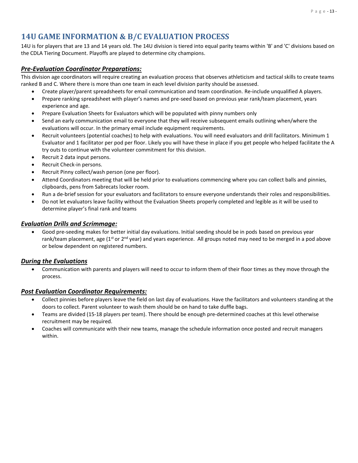### <span id="page-12-0"></span>**14U GAME INFORMATION & B/C EVALUATION PROCESS**

14U is for players that are 13 and 14 years old. The 14U division is tiered into equal parity teams within 'B' and 'C' divisions based on the CDLA Tiering Document. Playoffs are played to determine city champions.

### <span id="page-12-1"></span>*Pre-Evaluation Coordinator Preparations:*

This division age coordinators will require creating an evaluation process that observes athleticism and tactical skills to create teams ranked B and C. Where there is more than one team in each level division parity should be assessed.

- Create player/parent spreadsheets for email communication and team coordination. Re-include unqualified A players.
- Prepare ranking spreadsheet with player's names and pre-seed based on previous year rank/team placement, years experience and age.
- Prepare Evaluation Sheets for Evaluators which will be populated with pinny numbers only
- Send an early communication email to everyone that they will receive subsequent emails outlining when/where the evaluations will occur. In the primary email include equipment requirements.
- Recruit volunteers (potential coaches) to help with evaluations. You will need evaluators and drill facilitators. Minimum 1 Evaluator and 1 facilitator per pod per floor. Likely you will have these in place if you get people who helped facilitate the A try outs to continue with the volunteer commitment for this division.
- Recruit 2 data input persons.
- Recruit Check-in persons.
- Recruit Pinny collect/wash person (one per floor).
- Attend Coordinators meeting that will be held prior to evaluations commencing where you can collect balls and pinnies, clipboards, pens from Sabrecats locker room.
- Run a de-brief session for your evaluators and facilitators to ensure everyone understands their roles and responsibilities.
- Do not let evaluators leave facility without the Evaluation Sheets properly completed and legible as it will be used to determine player's final rank and teams

### <span id="page-12-2"></span>*Evaluation Drills and Scrimmage:*

• Good pre-seeding makes for better initial day evaluations. Initial seeding should be in pods based on previous year rank/team placement, age ( $1^{st}$  or  $2^{nd}$  year) and years experience. All groups noted may need to be merged in a pod above or below dependent on registered numbers.

### <span id="page-12-3"></span>*During the Evaluations*

• Communication with parents and players will need to occur to inform them of their floor times as they move through the process.

- <span id="page-12-4"></span>• Collect pinnies before players leave the field on last day of evaluations. Have the facilitators and volunteers standing at the doors to collect. Parent volunteer to wash them should be on hand to take duffle bags.
- Teams are divided (15-18 players per team). There should be enough pre-determined coaches at this level otherwise recruitment may be required.
- Coaches will communicate with their new teams, manage the schedule information once posted and recruit managers within.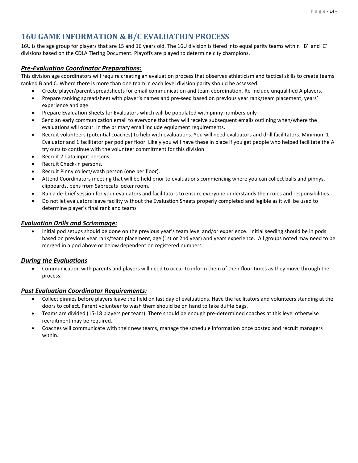### **16U GAME INFORMATION & B/C EVALUATION PROCESS**

16U is the age group for players that are 15 and 16 years old. The 16U division is tiered into equal parity teams within 'B' and 'C' divisions based on the CDLA Tiering Document. Playoffs are played to determine city champions.

### <span id="page-13-0"></span>*Pre-Evaluation Coordinator Preparations:*

This division age coordinators will require creating an evaluation process that observes athleticism and tactical skills to create teams ranked B and C. Where there is more than one team in each level division parity should be assessed.

- Create player/parent spreadsheets for email communication and team coordination. Re-include unqualified A players.
- Prepare ranking spreadsheet with player's names and pre-seed based on previous year rank/team placement, years' experience and age.
- Prepare Evaluation Sheets for Evaluators which will be populated with pinny numbers only
- Send an early communication email to everyone that they will receive subsequent emails outlining when/where the evaluations will occur. In the primary email include equipment requirements.
- Recruit volunteers (potential coaches) to help with evaluations. You will need evaluators and drill facilitators. Minimum 1 Evaluator and 1 facilitator per pod per floor. Likely you will have these in place if you get people who helped facilitate the A try outs to continue with the volunteer commitment for this division.
- Recruit 2 data input persons.
- Recruit Check-in persons.
- Recruit Pinny collect/wash person (one per floor).
- Attend Coordinators meeting that will be held prior to evaluations commencing where you can collect balls and pinnys, clipboards, pens from Sabrecats locker room.
- Run a de-brief session for your evaluators and facilitators to ensure everyone understands their roles and responsibilities.
- Do not let evaluators leave facility without the Evaluation Sheets properly completed and legible as it will be used to determine player's final rank and teams

### <span id="page-13-1"></span>*Evaluation Drills and Scrimmage:*

• Initial pod setups should be done on the previous year's team level and/or experience. Initial seeding should be in pods based on previous year rank/team placement, age (1st or 2nd year) and years experience. All groups noted may need to be merged in a pod above or below dependent on registered numbers.

### <span id="page-13-2"></span>*During the Evaluations*

• Communication with parents and players will need to occur to inform them of their floor times as they move through the process.

- <span id="page-13-3"></span>• Collect pinnies before players leave the field on last day of evaluations. Have the facilitators and volunteers standing at the doors to collect. Parent volunteer to wash them should be on hand to take duffle bags.
- Teams are divided (15-18 players per team). There should be enough pre-determined coaches at this level otherwise recruitment may be required.
- Coaches will communicate with their new teams, manage the schedule information once posted and recruit managers within.